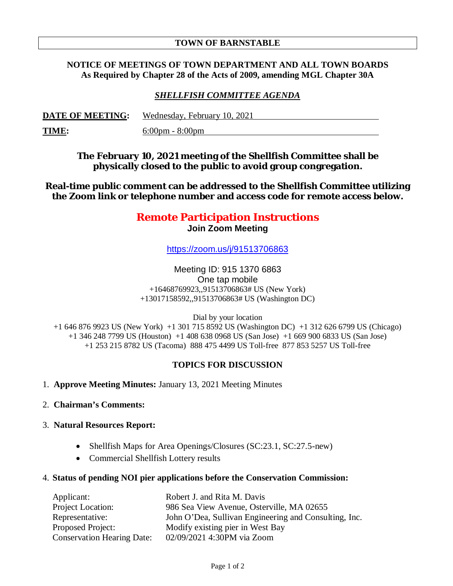#### **TOWN OF BARNSTABLE**

### **NOTICE OF MEETINGS OF TOWN DEPARTMENT AND ALL TOWN BOARDS As Required by Chapter 28 of the Acts of 2009, amending MGL Chapter 30A**

## *SHELLFISH COMMITTEE AGENDA*

| <b>DATE OF MEETING:</b> | Wednesday, February 10, 2021      |
|-------------------------|-----------------------------------|
| <b>TIME:</b>            | $6:00 \text{pm} - 8:00 \text{pm}$ |

**The February 10, 2021 meeting of the Shellfish Committee shall be physically closed to the public to avoid group congregation.**

**Real-time public comment can be addressed to the Shellfish Committee utilizing the Zoom link or telephone number and access code for remote access below.**

# **Remote Participation Instructions Join Zoom Meeting**

https://zoom.us/j/91513706863

Meeting ID: 915 1370 6863 One tap mobile +16468769923,,91513706863# US (New York) +13017158592,,91513706863# US (Washington DC)

Dial by your location

+1 646 876 9923 US (New York) +1 301 715 8592 US (Washington DC) +1 312 626 6799 US (Chicago) +1 346 248 7799 US (Houston) +1 408 638 0968 US (San Jose) +1 669 900 6833 US (San Jose) +1 253 215 8782 US (Tacoma) 888 475 4499 US Toll-free 877 853 5257 US Toll-free

#### **TOPICS FOR DISCUSSION**

- 1. **Approve Meeting Minutes:** January 13, 2021 Meeting Minutes
- 2. **Chairman's Comments:**

#### 3. **Natural Resources Report:**

- Shellfish Maps for Area Openings/Closures (SC:23.1, SC:27.5-new)
- Commercial Shellfish Lottery results
- 4. **Status of pending NOI pier applications before the Conservation Commission:**

| Applicant:                        | Robert J. and Rita M. Davis                           |
|-----------------------------------|-------------------------------------------------------|
| Project Location:                 | 986 Sea View Avenue, Osterville, MA 02655             |
| Representative:                   | John O'Dea, Sullivan Engineering and Consulting, Inc. |
| Proposed Project:                 | Modify existing pier in West Bay                      |
| <b>Conservation Hearing Date:</b> | 02/09/2021 4:30PM via Zoom                            |